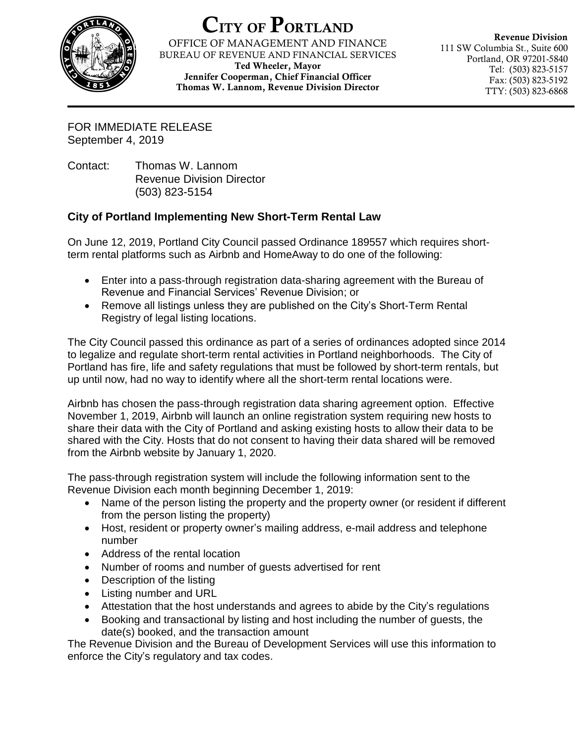

## CITY OF PORTLAND

OFFICE OF MANAGEMENT AND FINANCE BUREAU OF REVENUE AND FINANCIAL SERVICES Ted Wheeler, Mayor Jennifer Cooperman, Chief Financial Officer

Thomas W. Lannom, Revenue Division Director

Revenue Division 111 SW Columbia St., Suite 600 Portland, OR 97201-5840 Tel: (503) 823-5157 Fax: (503) 823-5192 TTY: (503) 823-6868

FOR IMMEDIATE RELEASE September 4, 2019

Contact: Thomas W. Lannom Revenue Division Director (503) 823-5154

## **City of Portland Implementing New Short-Term Rental Law**

On June 12, 2019, Portland City Council passed Ordinance 189557 which requires shortterm rental platforms such as Airbnb and HomeAway to do one of the following:

- Enter into a pass-through registration data-sharing agreement with the Bureau of Revenue and Financial Services' Revenue Division; or
- Remove all listings unless they are published on the City's Short-Term Rental Registry of legal listing locations.

The City Council passed this ordinance as part of a series of ordinances adopted since 2014 to legalize and regulate short-term rental activities in Portland neighborhoods. The City of Portland has fire, life and safety regulations that must be followed by short-term rentals, but up until now, had no way to identify where all the short-term rental locations were.

Airbnb has chosen the pass-through registration data sharing agreement option. Effective November 1, 2019, Airbnb will launch an online registration system requiring new hosts to share their data with the City of Portland and asking existing hosts to allow their data to be shared with the City. Hosts that do not consent to having their data shared will be removed from the Airbnb website by January 1, 2020.

The pass-through registration system will include the following information sent to the Revenue Division each month beginning December 1, 2019:

- Name of the person listing the property and the property owner (or resident if different from the person listing the property)
- Host, resident or property owner's mailing address, e-mail address and telephone number
- Address of the rental location
- Number of rooms and number of guests advertised for rent
- Description of the listing
- Listing number and URL
- Attestation that the host understands and agrees to abide by the City's regulations
- Booking and transactional by listing and host including the number of guests, the date(s) booked, and the transaction amount

The Revenue Division and the Bureau of Development Services will use this information to enforce the City's regulatory and tax codes.